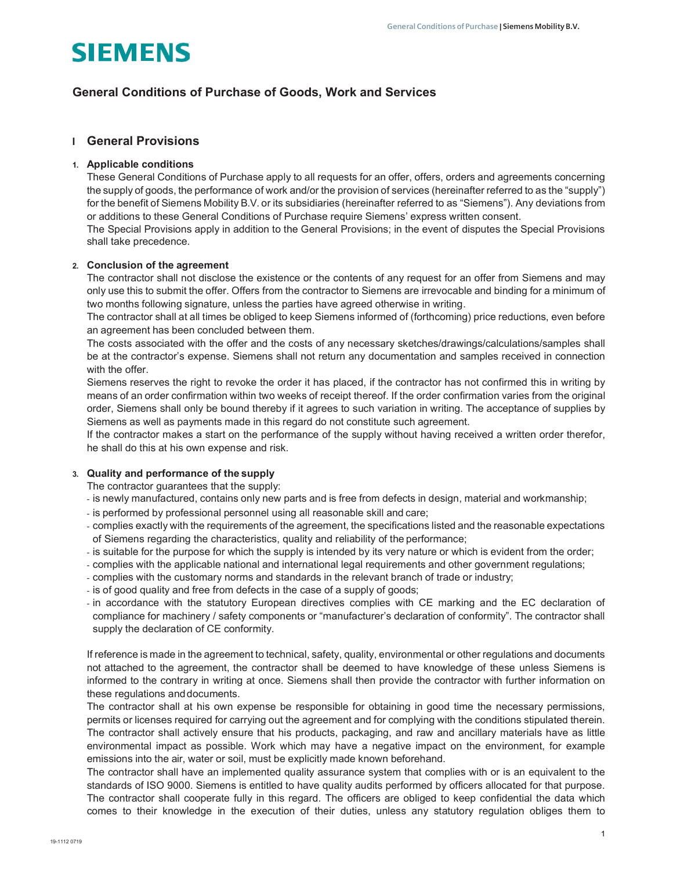# **SIEMENS**

# General Conditions of Purchase of Goods, Work and Services

# I General Provisions

# 1. Applicable conditions

These General Conditions of Purchase apply to all requests for an offer, offers, orders and agreements concerning the supply of goods, the performance of work and/or the provision of services (hereinafter referred to as the "supply") for the benefit of Siemens Mobility B.V. or its subsidiaries (hereinafter referred to as "Siemens"). Any deviations from or additions to these General Conditions of Purchase require Siemens' express written consent.

The Special Provisions apply in addition to the General Provisions; in the event of disputes the Special Provisions shall take precedence.

# 2. Conclusion of the agreement

The contractor shall not disclose the existence or the contents of any request for an offer from Siemens and may only use this to submit the offer. Offers from the contractor to Siemens are irrevocable and binding for a minimum of two months following signature, unless the parties have agreed otherwise in writing.

The contractor shall at all times be obliged to keep Siemens informed of (forthcoming) price reductions, even before an agreement has been concluded between them.

The costs associated with the offer and the costs of any necessary sketches/drawings/calculations/samples shall be at the contractor's expense. Siemens shall not return any documentation and samples received in connection with the offer

Siemens reserves the right to revoke the order it has placed, if the contractor has not confirmed this in writing by means of an order confirmation within two weeks of receipt thereof. If the order confirmation varies from the original order, Siemens shall only be bound thereby if it agrees to such variation in writing. The acceptance of supplies by Siemens as well as payments made in this regard do not constitute such agreement.

If the contractor makes a start on the performance of the supply without having received a written order therefor, he shall do this at his own expense and risk.

# 3. Quality and performance of the supply

The contractor guarantees that the supply:

- is newly manufactured, contains only new parts and is free from defects in design, material and workmanship;
- is performed by professional personnel using all reasonable skill and care;
- complies exactly with the requirements of the agreement, the specifications listed and the reasonable expectations of Siemens regarding the characteristics, quality and reliability of the performance;
- is suitable for the purpose for which the supply is intended by its very nature or which is evident from the order;
- complies with the applicable national and international legal requirements and other government regulations;
- complies with the customary norms and standards in the relevant branch of trade or industry;
- is of good quality and free from defects in the case of a supply of goods;
- in accordance with the statutory European directives complies with CE marking and the EC declaration of compliance for machinery / safety components or "manufacturer's declaration of conformity". The contractor shall supply the declaration of CE conformity.

If reference is made in the agreement to technical, safety, quality, environmental or other regulations and documents not attached to the agreement, the contractor shall be deemed to have knowledge of these unless Siemens is informed to the contrary in writing at once. Siemens shall then provide the contractor with further information on these regulations and documents.

The contractor shall at his own expense be responsible for obtaining in good time the necessary permissions, permits or licenses required for carrying out the agreement and for complying with the conditions stipulated therein. The contractor shall actively ensure that his products, packaging, and raw and ancillary materials have as little environmental impact as possible. Work which may have a negative impact on the environment, for example emissions into the air, water or soil, must be explicitly made known beforehand.

The contractor shall have an implemented quality assurance system that complies with or is an equivalent to the standards of ISO 9000. Siemens is entitled to have quality audits performed by officers allocated for that purpose. The contractor shall cooperate fully in this regard. The officers are obliged to keep confidential the data which comes to their knowledge in the execution of their duties, unless any statutory regulation obliges them to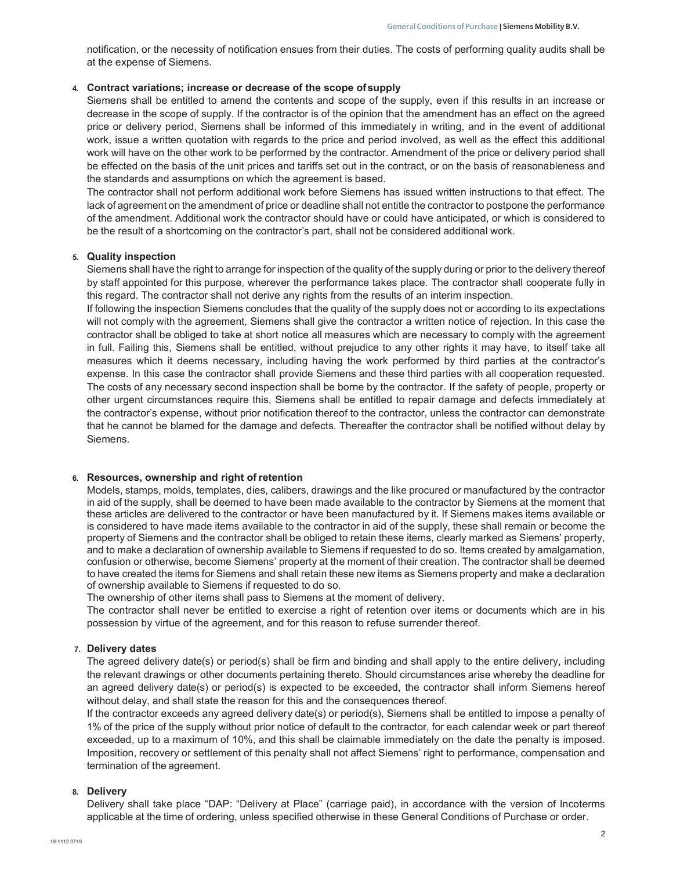notification, or the necessity of notification ensues from their duties. The costs of performing quality audits shall be at the expense of Siemens.

## 4. Contract variations; increase or decrease of the scope of supply

Siemens shall be entitled to amend the contents and scope of the supply, even if this results in an increase or decrease in the scope of supply. If the contractor is of the opinion that the amendment has an effect on the agreed price or delivery period, Siemens shall be informed of this immediately in writing, and in the event of additional work, issue a written quotation with regards to the price and period involved, as well as the effect this additional work will have on the other work to be performed by the contractor. Amendment of the price or delivery period shall be effected on the basis of the unit prices and tariffs set out in the contract, or on the basis of reasonableness and the standards and assumptions on which the agreement is based.

The contractor shall not perform additional work before Siemens has issued written instructions to that effect. The lack of agreement on the amendment of price or deadline shall not entitle the contractor to postpone the performance of the amendment. Additional work the contractor should have or could have anticipated, or which is considered to be the result of a shortcoming on the contractor's part, shall not be considered additional work.

## 5. Quality inspection

Siemens shall have the right to arrange for inspection of the quality of the supply during or prior to the delivery thereof by staff appointed for this purpose, wherever the performance takes place. The contractor shall cooperate fully in this regard. The contractor shall not derive any rights from the results of an interim inspection.

If following the inspection Siemens concludes that the quality of the supply does not or according to its expectations will not comply with the agreement, Siemens shall give the contractor a written notice of rejection. In this case the contractor shall be obliged to take at short notice all measures which are necessary to comply with the agreement in full. Failing this, Siemens shall be entitled, without prejudice to any other rights it may have, to itself take all measures which it deems necessary, including having the work performed by third parties at the contractor's expense. In this case the contractor shall provide Siemens and these third parties with all cooperation requested. The costs of any necessary second inspection shall be borne by the contractor. If the safety of people, property or other urgent circumstances require this, Siemens shall be entitled to repair damage and defects immediately at the contractor's expense, without prior notification thereof to the contractor, unless the contractor can demonstrate that he cannot be blamed for the damage and defects. Thereafter the contractor shall be notified without delay by Siemens.

## 6. Resources, ownership and right of retention

Models, stamps, molds, templates, dies, calibers, drawings and the like procured or manufactured by the contractor in aid of the supply, shall be deemed to have been made available to the contractor by Siemens at the moment that these articles are delivered to the contractor or have been manufactured by it. If Siemens makes items available or is considered to have made items available to the contractor in aid of the supply, these shall remain or become the property of Siemens and the contractor shall be obliged to retain these items, clearly marked as Siemens' property, and to make a declaration of ownership available to Siemens if requested to do so. Items created by amalgamation, confusion or otherwise, become Siemens' property at the moment of their creation. The contractor shall be deemed to have created the items for Siemens and shall retain these new items as Siemens property and make a declaration of ownership available to Siemens if requested to do so.

The ownership of other items shall pass to Siemens at the moment of delivery.

The contractor shall never be entitled to exercise a right of retention over items or documents which are in his possession by virtue of the agreement, and for this reason to refuse surrender thereof.

## 7. Delivery dates

The agreed delivery date(s) or period(s) shall be firm and binding and shall apply to the entire delivery, including the relevant drawings or other documents pertaining thereto. Should circumstances arise whereby the deadline for an agreed delivery date(s) or period(s) is expected to be exceeded, the contractor shall inform Siemens hereof without delay, and shall state the reason for this and the consequences thereof.

If the contractor exceeds any agreed delivery date(s) or period(s), Siemens shall be entitled to impose a penalty of 1% of the price of the supply without prior notice of default to the contractor, for each calendar week or part thereof exceeded, up to a maximum of 10%, and this shall be claimable immediately on the date the penalty is imposed. Imposition, recovery or settlement of this penalty shall not affect Siemens' right to performance, compensation and termination of the agreement.

## 8. Delivery

Delivery shall take place "DAP: "Delivery at Place" (carriage paid), in accordance with the version of Incoterms applicable at the time of ordering, unless specified otherwise in these General Conditions of Purchase or order.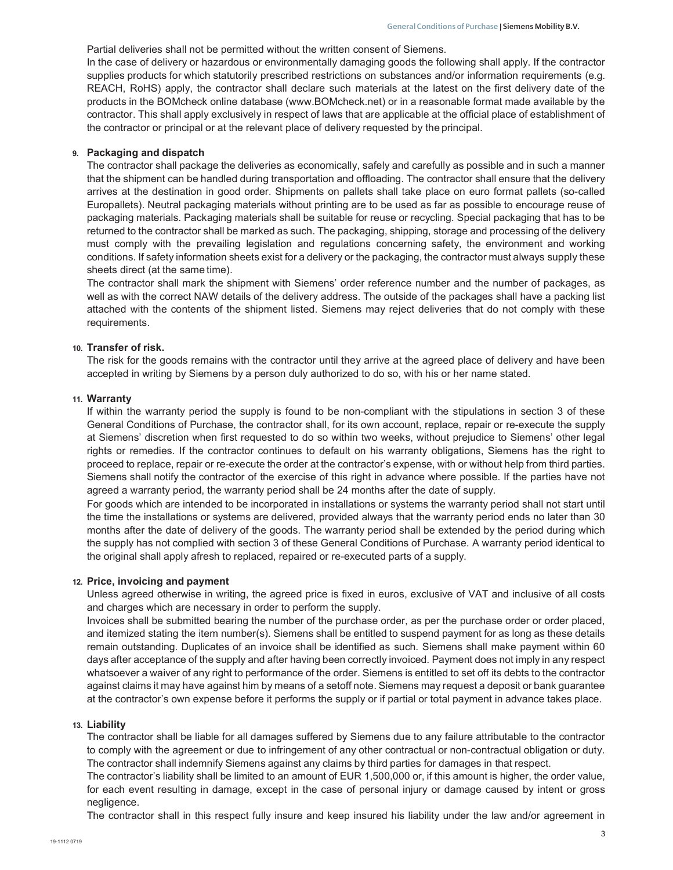Partial deliveries shall not be permitted without the written consent of Siemens.

In the case of delivery or hazardous or environmentally damaging goods the following shall apply. If the contractor supplies products for which statutorily prescribed restrictions on substances and/or information requirements (e.g. REACH, RoHS) apply, the contractor shall declare such materials at the latest on the first delivery date of the products in the BOMcheck online database (www.BOMcheck.net) or in a reasonable format made available by the contractor. This shall apply exclusively in respect of laws that are applicable at the official place of establishment of the contractor or principal or at the relevant place of delivery requested by the principal.

#### 9. Packaging and dispatch

The contractor shall package the deliveries as economically, safely and carefully as possible and in such a manner that the shipment can be handled during transportation and offloading. The contractor shall ensure that the delivery arrives at the destination in good order. Shipments on pallets shall take place on euro format pallets (so-called Europallets). Neutral packaging materials without printing are to be used as far as possible to encourage reuse of packaging materials. Packaging materials shall be suitable for reuse or recycling. Special packaging that has to be returned to the contractor shall be marked as such. The packaging, shipping, storage and processing of the delivery must comply with the prevailing legislation and regulations concerning safety, the environment and working conditions. If safety information sheets exist for a delivery or the packaging, the contractor must always supply these sheets direct (at the same time).

The contractor shall mark the shipment with Siemens' order reference number and the number of packages, as well as with the correct NAW details of the delivery address. The outside of the packages shall have a packing list attached with the contents of the shipment listed. Siemens may reject deliveries that do not comply with these requirements.

#### 10. Transfer of risk.

The risk for the goods remains with the contractor until they arrive at the agreed place of delivery and have been accepted in writing by Siemens by a person duly authorized to do so, with his or her name stated.

## 11. Warranty

If within the warranty period the supply is found to be non-compliant with the stipulations in section 3 of these General Conditions of Purchase, the contractor shall, for its own account, replace, repair or re-execute the supply at Siemens' discretion when first requested to do so within two weeks, without prejudice to Siemens' other legal rights or remedies. If the contractor continues to default on his warranty obligations, Siemens has the right to proceed to replace, repair or re-execute the order at the contractor's expense, with or without help from third parties. Siemens shall notify the contractor of the exercise of this right in advance where possible. If the parties have not agreed a warranty period, the warranty period shall be 24 months after the date of supply.

For goods which are intended to be incorporated in installations or systems the warranty period shall not start until the time the installations or systems are delivered, provided always that the warranty period ends no later than 30 months after the date of delivery of the goods. The warranty period shall be extended by the period during which the supply has not complied with section 3 of these General Conditions of Purchase. A warranty period identical to the original shall apply afresh to replaced, repaired or re-executed parts of a supply.

#### 12. Price, invoicing and payment

Unless agreed otherwise in writing, the agreed price is fixed in euros, exclusive of VAT and inclusive of all costs and charges which are necessary in order to perform the supply.

Invoices shall be submitted bearing the number of the purchase order, as per the purchase order or order placed, and itemized stating the item number(s). Siemens shall be entitled to suspend payment for as long as these details remain outstanding. Duplicates of an invoice shall be identified as such. Siemens shall make payment within 60 days after acceptance of the supply and after having been correctly invoiced. Payment does not imply in any respect whatsoever a waiver of any right to performance of the order. Siemens is entitled to set off its debts to the contractor against claims it may have against him by means of a setoff note. Siemens may request a deposit or bank guarantee at the contractor's own expense before it performs the supply or if partial or total payment in advance takes place.

#### 13. Liability

The contractor shall be liable for all damages suffered by Siemens due to any failure attributable to the contractor to comply with the agreement or due to infringement of any other contractual or non-contractual obligation or duty. The contractor shall indemnify Siemens against any claims by third parties for damages in that respect.

The contractor's liability shall be limited to an amount of EUR 1,500,000 or, if this amount is higher, the order value, for each event resulting in damage, except in the case of personal injury or damage caused by intent or gross negligence.

The contractor shall in this respect fully insure and keep insured his liability under the law and/or agreement in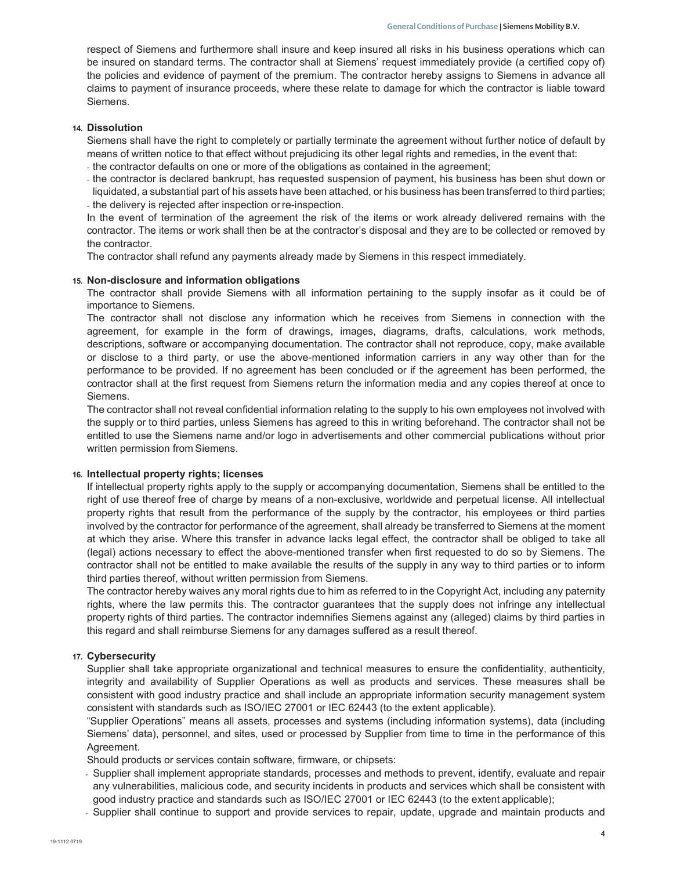respect of Siemens and furthermore shall insure and keep insured all risks in his business operations which can be insured on standard terms. The contractor shall at Siemens' request immediately provide (a certified copy of) the policies and evidence of payment of the premium. The contractor hereby assigns to Siemens in advance all claims to payment of insurance proceeds, where these relate to damage for which the contractor is liable toward Siemens.

## 14. Dissolution

Siemens shall have the right to completely or partially terminate the agreement without further notice of default by means of written notice to that effect without prejudicing its other legal rights and remedies, in the event that:

- the contractor defaults on one or more of the obligations as contained in the agreement;
- the contractor is declared bankrupt, has requested suspension of payment, his business has been shut down or liquidated, a substantial part of his assets have been attached, or his business has been transferred to third parties; - the delivery is rejected after inspection or re-inspection.

In the event of termination of the agreement the risk of the items or work already delivered remains with the contractor. The items or work shall then be at the contractor's disposal and they are to be collected or removed by the contractor.

The contractor shall refund any payments already made by Siemens in this respect immediately.

# 15. Non-disclosure and information obligations

The contractor shall provide Siemens with all information pertaining to the supply insofar as it could be of importance to Siemens.

The contractor shall not disclose any information which he receives from Siemens in connection with the agreement, for example in the form of drawings, images, diagrams, drafts, calculations, work methods, descriptions, software or accompanying documentation. The contractor shall not reproduce, copy, make available or disclose to a third party, or use the above-mentioned information carriers in any way other than for the performance to be provided. If no agreement has been concluded or if the agreement has been performed, the contractor shall at the first request from Siemens return the information media and any copies thereof at once to Siemens.

The contractor shall not reveal confidential information relating to the supply to his own employees not involved with the supply or to third parties, unless Siemens has agreed to this in writing beforehand. The contractor shall not be entitled to use the Siemens name and/or logo in advertisements and other commercial publications without prior written permission from Siemens.

## 16. Intellectual property rights; licenses

If intellectual property rights apply to the supply or accompanying documentation, Siemens shall be entitled to the right of use thereof free of charge by means of a non-exclusive, worldwide and perpetual license. All intellectual property rights that result from the performance of the supply by the contractor, his employees or third parties involved by the contractor for performance of the agreement, shall already be transferred to Siemens at the moment at which they arise. Where this transfer in advance lacks legal effect, the contractor shall be obliged to take all (legal) actions necessary to effect the above-mentioned transfer when first requested to do so by Siemens. The contractor shall not be entitled to make available the results of the supply in any way to third parties or to inform third parties thereof, without written permission from Siemens.

The contractor hereby waives any moral rights due to him as referred to in the Copyright Act, including any paternity rights, where the law permits this. The contractor guarantees that the supply does not infringe any intellectual property rights of third parties. The contractor indemnifies Siemens against any (alleged) claims by third parties in this regard and shall reimburse Siemens for any damages suffered as a result thereof.

## 17. Cybersecurity

Supplier shall take appropriate organizational and technical measures to ensure the confidentiality, authenticity, integrity and availability of Supplier Operations as well as products and services. These measures shall be consistent with good industry practice and shall include an appropriate information security management system consistent with standards such as ISO/IEC 27001 or IEC 62443 (to the extent applicable).

"Supplier Operations" means all assets, processes and systems (including information systems), data (including Siemens' data), personnel, and sites, used or processed by Supplier from time to time in the performance of this Agreement.

Should products or services contain software, firmware, or chipsets:

- Supplier shall implement appropriate standards, processes and methods to prevent, identify, evaluate and repair any vulnerabilities, malicious code, and security incidents in products and services which shall be consistent with good industry practice and standards such as ISO/IEC 27001 or IEC 62443 (to the extent applicable);
- Supplier shall continue to support and provide services to repair, update, upgrade and maintain products and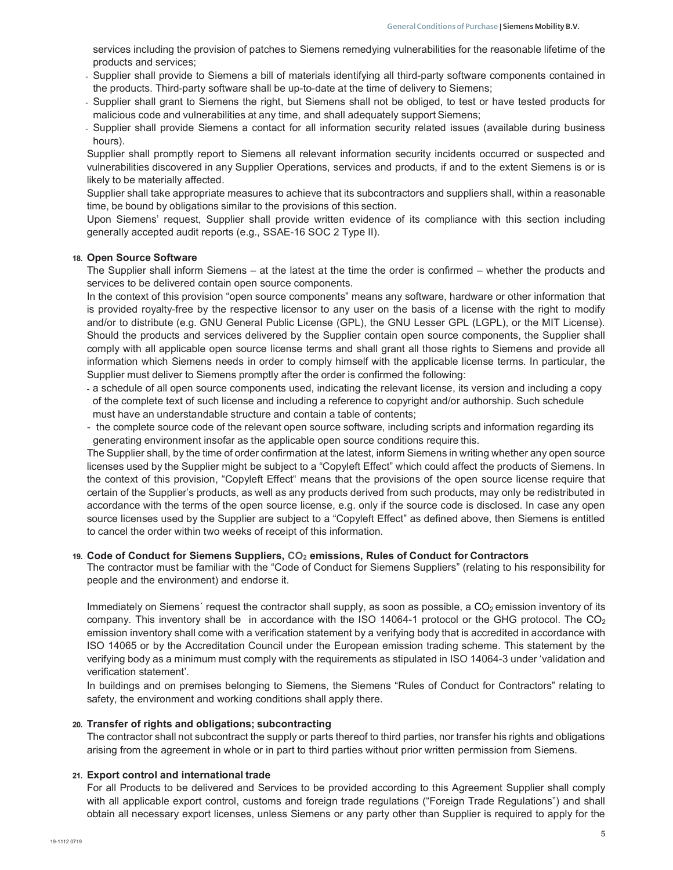services including the provision of patches to Siemens remedying vulnerabilities for the reasonable lifetime of the products and services;

- Supplier shall provide to Siemens a bill of materials identifying all third-party software components contained in the products. Third-party software shall be up-to-date at the time of delivery to Siemens;
- Supplier shall grant to Siemens the right, but Siemens shall not be obliged, to test or have tested products for malicious code and vulnerabilities at any time, and shall adequately support Siemens;
- Supplier shall provide Siemens a contact for all information security related issues (available during business hours).

Supplier shall promptly report to Siemens all relevant information security incidents occurred or suspected and vulnerabilities discovered in any Supplier Operations, services and products, if and to the extent Siemens is or is likely to be materially affected.

Supplier shall take appropriate measures to achieve that its subcontractors and suppliers shall, within a reasonable time, be bound by obligations similar to the provisions of this section.

Upon Siemens' request, Supplier shall provide written evidence of its compliance with this section including generally accepted audit reports (e.g., SSAE-16 SOC 2 Type II).

## 18. Open Source Software

The Supplier shall inform Siemens – at the latest at the time the order is confirmed – whether the products and services to be delivered contain open source components.

In the context of this provision "open source components" means any software, hardware or other information that is provided royalty-free by the respective licensor to any user on the basis of a license with the right to modify and/or to distribute (e.g. GNU General Public License (GPL), the GNU Lesser GPL (LGPL), or the MIT License). Should the products and services delivered by the Supplier contain open source components, the Supplier shall comply with all applicable open source license terms and shall grant all those rights to Siemens and provide all information which Siemens needs in order to comply himself with the applicable license terms. In particular, the Supplier must deliver to Siemens promptly after the order is confirmed the following:

- a schedule of all open source components used, indicating the relevant license, its version and including a copy of the complete text of such license and including a reference to copyright and/or authorship. Such schedule must have an understandable structure and contain a table of contents;
- the complete source code of the relevant open source software, including scripts and information regarding its generating environment insofar as the applicable open source conditions require this.

The Supplier shall, by the time of order confirmation at the latest, inform Siemens in writing whether any open source licenses used by the Supplier might be subject to a "Copyleft Effect" which could affect the products of Siemens. In the context of this provision, "Copyleft Effect" means that the provisions of the open source license require that certain of the Supplier's products, as well as any products derived from such products, may only be redistributed in accordance with the terms of the open source license, e.g. only if the source code is disclosed. In case any open source licenses used by the Supplier are subject to a "Copyleft Effect" as defined above, then Siemens is entitled to cancel the order within two weeks of receipt of this information.

## 19. Code of Conduct for Siemens Suppliers,  $CO<sub>2</sub>$  emissions, Rules of Conduct for Contractors

The contractor must be familiar with the "Code of Conduct for Siemens Suppliers" (relating to his responsibility for people and the environment) and endorse it.

Immediately on Siemens' request the contractor shall supply, as soon as possible, a  $CO<sub>2</sub>$  emission inventory of its company. This inventory shall be in accordance with the ISO 14064-1 protocol or the GHG protocol. The  $CO<sub>2</sub>$ emission inventory shall come with a verification statement by a verifying body that is accredited in accordance with ISO 14065 or by the Accreditation Council under the European emission trading scheme. This statement by the verifying body as a minimum must comply with the requirements as stipulated in ISO 14064-3 under 'validation and verification statement'.

In buildings and on premises belonging to Siemens, the Siemens "Rules of Conduct for Contractors" relating to safety, the environment and working conditions shall apply there.

#### 20. Transfer of rights and obligations; subcontracting

The contractor shall not subcontract the supply or parts thereof to third parties, nor transfer his rights and obligations arising from the agreement in whole or in part to third parties without prior written permission from Siemens.

## 21. Export control and international trade

For all Products to be delivered and Services to be provided according to this Agreement Supplier shall comply with all applicable export control, customs and foreign trade regulations ("Foreign Trade Regulations") and shall obtain all necessary export licenses, unless Siemens or any party other than Supplier is required to apply for the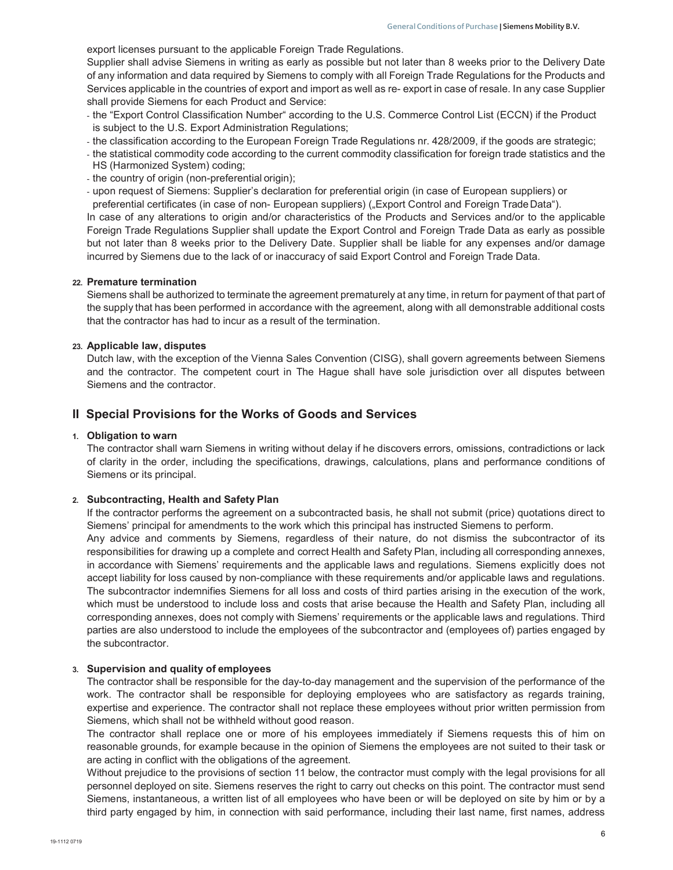export licenses pursuant to the applicable Foreign Trade Regulations.

Supplier shall advise Siemens in writing as early as possible but not later than 8 weeks prior to the Delivery Date of any information and data required by Siemens to comply with all Foreign Trade Regulations for the Products and Services applicable in the countries of export and import as well as re- export in case of resale. In any case Supplier shall provide Siemens for each Product and Service:

- the "Export Control Classification Number" according to the U.S. Commerce Control List (ECCN) if the Product is subject to the U.S. Export Administration Regulations;
- the classification according to the European Foreign Trade Regulations nr. 428/2009, if the goods are strategic;
- the statistical commodity code according to the current commodity classification for foreign trade statistics and the HS (Harmonized System) coding;
- the country of origin (non-preferential origin);
- upon request of Siemens: Supplier's declaration for preferential origin (in case of European suppliers) or preferential certificates (in case of non- European suppliers) ("Export Control and Foreign Trade Data").

In case of any alterations to origin and/or characteristics of the Products and Services and/or to the applicable Foreign Trade Regulations Supplier shall update the Export Control and Foreign Trade Data as early as possible but not later than 8 weeks prior to the Delivery Date. Supplier shall be liable for any expenses and/or damage incurred by Siemens due to the lack of or inaccuracy of said Export Control and Foreign Trade Data.

#### 22. Premature termination

Siemens shall be authorized to terminate the agreement prematurely at any time, in return for payment of that part of the supply that has been performed in accordance with the agreement, along with all demonstrable additional costs that the contractor has had to incur as a result of the termination.

## 23. Applicable law, disputes

Dutch law, with the exception of the Vienna Sales Convention (CISG), shall govern agreements between Siemens and the contractor. The competent court in The Hague shall have sole jurisdiction over all disputes between Siemens and the contractor.

# II Special Provisions for the Works of Goods and Services

## 1. Obligation to warn

The contractor shall warn Siemens in writing without delay if he discovers errors, omissions, contradictions or lack of clarity in the order, including the specifications, drawings, calculations, plans and performance conditions of Siemens or its principal.

## 2. Subcontracting, Health and Safety Plan

If the contractor performs the agreement on a subcontracted basis, he shall not submit (price) quotations direct to Siemens' principal for amendments to the work which this principal has instructed Siemens to perform.

Any advice and comments by Siemens, regardless of their nature, do not dismiss the subcontractor of its responsibilities for drawing up a complete and correct Health and Safety Plan, including all corresponding annexes, in accordance with Siemens' requirements and the applicable laws and regulations. Siemens explicitly does not accept liability for loss caused by non-compliance with these requirements and/or applicable laws and regulations. The subcontractor indemnifies Siemens for all loss and costs of third parties arising in the execution of the work, which must be understood to include loss and costs that arise because the Health and Safety Plan, including all corresponding annexes, does not comply with Siemens' requirements or the applicable laws and regulations. Third parties are also understood to include the employees of the subcontractor and (employees of) parties engaged by the subcontractor.

#### 3. Supervision and quality of employees

The contractor shall be responsible for the day-to-day management and the supervision of the performance of the work. The contractor shall be responsible for deploying employees who are satisfactory as regards training, expertise and experience. The contractor shall not replace these employees without prior written permission from Siemens, which shall not be withheld without good reason.

The contractor shall replace one or more of his employees immediately if Siemens requests this of him on reasonable grounds, for example because in the opinion of Siemens the employees are not suited to their task or are acting in conflict with the obligations of the agreement.

Without prejudice to the provisions of section 11 below, the contractor must comply with the legal provisions for all personnel deployed on site. Siemens reserves the right to carry out checks on this point. The contractor must send Siemens, instantaneous, a written list of all employees who have been or will be deployed on site by him or by a third party engaged by him, in connection with said performance, including their last name, first names, address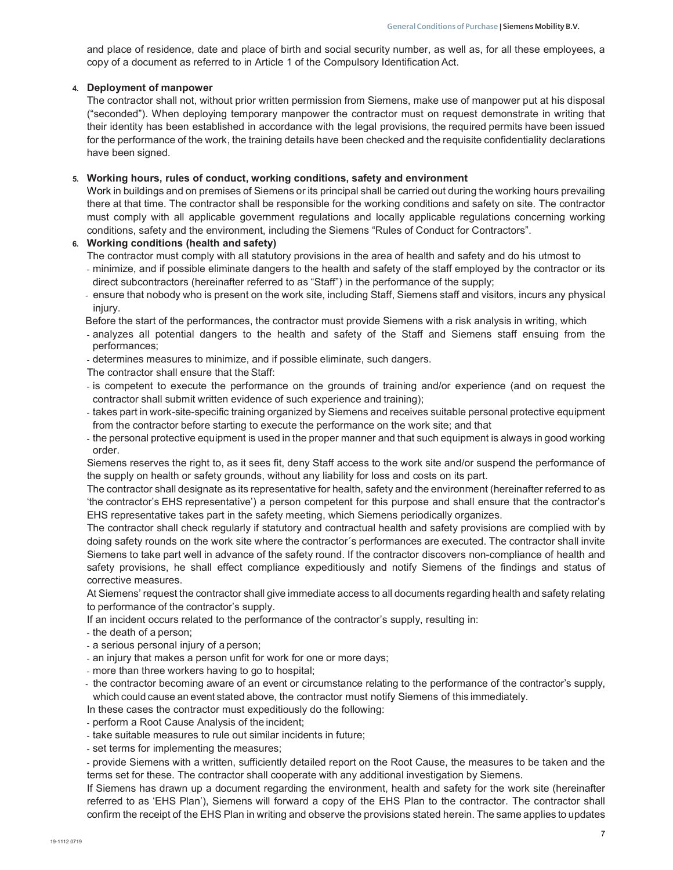and place of residence, date and place of birth and social security number, as well as, for all these employees, a copy of a document as referred to in Article 1 of the Compulsory Identification Act.

# 4. Deployment of manpower

The contractor shall not, without prior written permission from Siemens, make use of manpower put at his disposal ("seconded"). When deploying temporary manpower the contractor must on request demonstrate in writing that their identity has been established in accordance with the legal provisions, the required permits have been issued for the performance of the work, the training details have been checked and the requisite confidentiality declarations have been signed.

## 5. Working hours, rules of conduct, working conditions, safety and environment

Work in buildings and on premises of Siemens or its principal shall be carried out during the working hours prevailing there at that time. The contractor shall be responsible for the working conditions and safety on site. The contractor must comply with all applicable government regulations and locally applicable regulations concerning working conditions, safety and the environment, including the Siemens "Rules of Conduct for Contractors".

# 6. Working conditions (health and safety)

The contractor must comply with all statutory provisions in the area of health and safety and do his utmost to

- minimize, and if possible eliminate dangers to the health and safety of the staff employed by the contractor or its direct subcontractors (hereinafter referred to as "Staff") in the performance of the supply;
- ensure that nobody who is present on the work site, including Staff, Siemens staff and visitors, incurs any physical injury.
- Before the start of the performances, the contractor must provide Siemens with a risk analysis in writing, which
- analyzes all potential dangers to the health and safety of the Staff and Siemens staff ensuing from the performances;
- determines measures to minimize, and if possible eliminate, such dangers.
- The contractor shall ensure that the Staff:
- is competent to execute the performance on the grounds of training and/or experience (and on request the contractor shall submit written evidence of such experience and training);
- takes part in work-site-specific training organized by Siemens and receives suitable personal protective equipment from the contractor before starting to execute the performance on the work site; and that
- the personal protective equipment is used in the proper manner and that such equipment is always in good working order.

Siemens reserves the right to, as it sees fit, deny Staff access to the work site and/or suspend the performance of the supply on health or safety grounds, without any liability for loss and costs on its part.

The contractor shall designate as its representative for health, safety and the environment (hereinafter referred to as 'the contractor's EHS representative') a person competent for this purpose and shall ensure that the contractor's EHS representative takes part in the safety meeting, which Siemens periodically organizes.

The contractor shall check regularly if statutory and contractual health and safety provisions are complied with by doing safety rounds on the work site where the contractor´s performances are executed. The contractor shall invite Siemens to take part well in advance of the safety round. If the contractor discovers non-compliance of health and safety provisions, he shall effect compliance expeditiously and notify Siemens of the findings and status of corrective measures.

At Siemens' request the contractor shall give immediate access to all documents regarding health and safety relating to performance of the contractor's supply.

If an incident occurs related to the performance of the contractor's supply, resulting in:

- the death of a person;
- a serious personal injury of a person;
- an injury that makes a person unfit for work for one or more days;
- more than three workers having to go to hospital;
- the contractor becoming aware of an event or circumstance relating to the performance of the contractor's supply, which could cause an event stated above, the contractor must notify Siemens of this immediately.

In these cases the contractor must expeditiously do the following:

- perform a Root Cause Analysis of the incident;
- take suitable measures to rule out similar incidents in future;
- set terms for implementing the measures;

- provide Siemens with a written, sufficiently detailed report on the Root Cause, the measures to be taken and the terms set for these. The contractor shall cooperate with any additional investigation by Siemens.

If Siemens has drawn up a document regarding the environment, health and safety for the work site (hereinafter referred to as 'EHS Plan'), Siemens will forward a copy of the EHS Plan to the contractor. The contractor shall confirm the receipt of the EHS Plan in writing and observe the provisions stated herein. The same applies to updates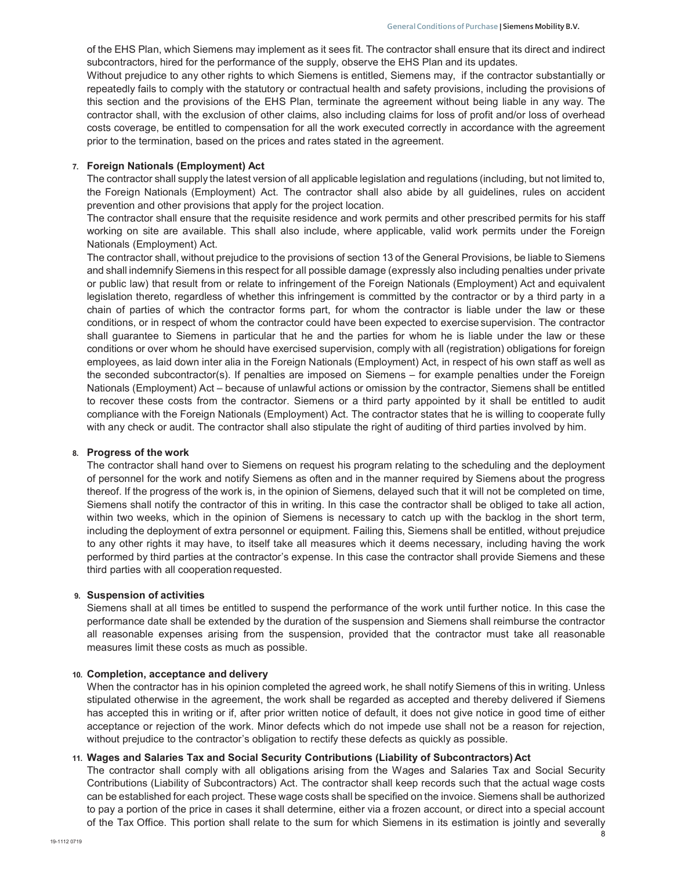of the EHS Plan, which Siemens may implement as it sees fit. The contractor shall ensure that its direct and indirect subcontractors, hired for the performance of the supply, observe the EHS Plan and its updates.

Without prejudice to any other rights to which Siemens is entitled, Siemens may, if the contractor substantially or repeatedly fails to comply with the statutory or contractual health and safety provisions, including the provisions of this section and the provisions of the EHS Plan, terminate the agreement without being liable in any way. The contractor shall, with the exclusion of other claims, also including claims for loss of profit and/or loss of overhead costs coverage, be entitled to compensation for all the work executed correctly in accordance with the agreement prior to the termination, based on the prices and rates stated in the agreement.

#### 7. Foreign Nationals (Employment) Act

The contractor shall supply the latest version of all applicable legislation and regulations (including, but not limited to, the Foreign Nationals (Employment) Act. The contractor shall also abide by all guidelines, rules on accident prevention and other provisions that apply for the project location.

The contractor shall ensure that the requisite residence and work permits and other prescribed permits for his staff working on site are available. This shall also include, where applicable, valid work permits under the Foreign Nationals (Employment) Act.

The contractor shall, without prejudice to the provisions of section 13 of the General Provisions, be liable to Siemens and shall indemnify Siemens in this respect for all possible damage (expressly also including penalties under private or public law) that result from or relate to infringement of the Foreign Nationals (Employment) Act and equivalent legislation thereto, regardless of whether this infringement is committed by the contractor or by a third party in a chain of parties of which the contractor forms part, for whom the contractor is liable under the law or these conditions, or in respect of whom the contractor could have been expected to exercise supervision. The contractor shall guarantee to Siemens in particular that he and the parties for whom he is liable under the law or these conditions or over whom he should have exercised supervision, comply with all (registration) obligations for foreign employees, as laid down inter alia in the Foreign Nationals (Employment) Act, in respect of his own staff as well as the seconded subcontractor(s). If penalties are imposed on Siemens – for example penalties under the Foreign Nationals (Employment) Act – because of unlawful actions or omission by the contractor, Siemens shall be entitled to recover these costs from the contractor. Siemens or a third party appointed by it shall be entitled to audit compliance with the Foreign Nationals (Employment) Act. The contractor states that he is willing to cooperate fully with any check or audit. The contractor shall also stipulate the right of auditing of third parties involved by him.

#### 8. Progress of the work

The contractor shall hand over to Siemens on request his program relating to the scheduling and the deployment of personnel for the work and notify Siemens as often and in the manner required by Siemens about the progress thereof. If the progress of the work is, in the opinion of Siemens, delayed such that it will not be completed on time, Siemens shall notify the contractor of this in writing. In this case the contractor shall be obliged to take all action, within two weeks, which in the opinion of Siemens is necessary to catch up with the backlog in the short term, including the deployment of extra personnel or equipment. Failing this, Siemens shall be entitled, without prejudice to any other rights it may have, to itself take all measures which it deems necessary, including having the work performed by third parties at the contractor's expense. In this case the contractor shall provide Siemens and these third parties with all cooperation requested.

#### 9. Suspension of activities

Siemens shall at all times be entitled to suspend the performance of the work until further notice. In this case the performance date shall be extended by the duration of the suspension and Siemens shall reimburse the contractor all reasonable expenses arising from the suspension, provided that the contractor must take all reasonable measures limit these costs as much as possible.

#### 10. Completion, acceptance and delivery

When the contractor has in his opinion completed the agreed work, he shall notify Siemens of this in writing. Unless stipulated otherwise in the agreement, the work shall be regarded as accepted and thereby delivered if Siemens has accepted this in writing or if, after prior written notice of default, it does not give notice in good time of either acceptance or rejection of the work. Minor defects which do not impede use shall not be a reason for rejection, without prejudice to the contractor's obligation to rectify these defects as quickly as possible.

#### 11. Wages and Salaries Tax and Social Security Contributions (Liability of Subcontractors) Act

The contractor shall comply with all obligations arising from the Wages and Salaries Tax and Social Security Contributions (Liability of Subcontractors) Act. The contractor shall keep records such that the actual wage costs can be established for each project. These wage costs shall be specified on the invoice. Siemens shall be authorized to pay a portion of the price in cases it shall determine, either via a frozen account, or direct into a special account of the Tax Office. This portion shall relate to the sum for which Siemens in its estimation is jointly and severally